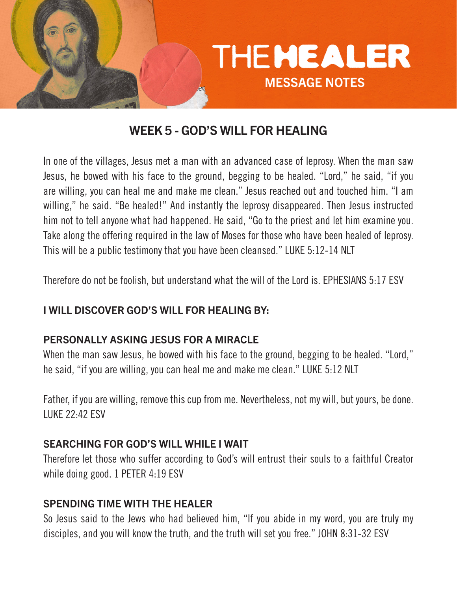

# WEEK 5 - GOD'S WILL FOR HEALING

In one of the villages, Jesus met a man with an advanced case of leprosy. When the man saw Jesus, he bowed with his face to the ground, begging to be healed. "Lord," he said, "if you are willing, you can heal me and make me clean." Jesus reached out and touched him. "I am willing," he said. "Be healed!" And instantly the leprosy disappeared. Then Jesus instructed him not to tell anyone what had happened. He said, "Go to the priest and let him examine you. Take along the offering required in the law of Moses for those who have been healed of leprosy. This will be a public testimony that you have been cleansed." LUKE 5:12-14 NLT

Therefore do not be foolish, but understand what the will of the Lord is. EPHESIANS 5:17 ESV

# I WILL DISCOVER GOD'S WILL FOR HEALING BY:

#### PERSONALLY ASKING JESUS FOR A MIRACLE

When the man saw Jesus, he bowed with his face to the ground, begging to be healed. "Lord," he said, "if you are willing, you can heal me and make me clean." LUKE 5:12 NLT

Father, if you are willing, remove this cup from me. Nevertheless, not my will, but yours, be done. LUKE 22:42 ESV

#### SEARCHING FOR GOD'S WILL WHILE I WAIT

Therefore let those who suffer according to God's will entrust their souls to a faithful Creator while doing good. 1 PETER 4:19 ESV

#### SPENDING TIME WITH THE HEALER

So Jesus said to the Jews who had believed him, "If you abide in my word, you are truly my disciples, and you will know the truth, and the truth will set you free." JOHN 8:31-32 ESV